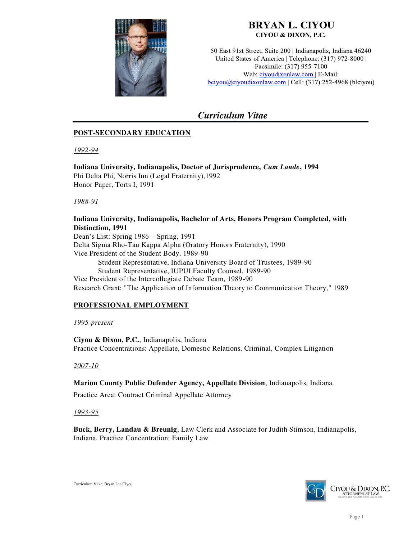

## **BRYAN L. CIYOU** CIYOU & DIXON, P.C.

50 East 91st Street, Suite 200 | Indianapolis, Indiana 46240 United States of America | Telephone: (317) 972-8000 | Facsimile: (317) 955-7100 Web: ciyoudixonlaw.com | E-Mail:  $\underline{bciyou@ciyoudivonlaw.com}$  | Cell: (317) 252-4968 (blciyou)

# *Curriculum Vitae*

## **POST-SECONDARY EDUCATION**

*1992-94*

## **Indiana University, Indianapolis, Doctor of Jurisprudence,** *Cum Laude***, 1994**

Phi Delta Phi, Norris Inn (Legal Fraternity),1992 Honor Paper, Torts I, 1991

*1988-91*

### **Indiana University, Indianapolis, Bachelor of Arts, Honors Program Completed, with Distinction, 1991**

Dean's List: Spring 1986 – Spring, 1991 Delta Sigma Rho-Tau Kappa Alpha (Oratory Honors Fraternity), 1990 Vice President of the Student Body, 1989-90 Student Representative, Indiana University Board of Trustees, 1989-90 Student Representative, IUPUI Faculty Counsel, 1989-90 Vice President of the Intercollegiate Debate Team, 1989-90 Research Grant: "The Application of Information Theory to Communication Theory," 1989

## **PROFESSIONAL EMPLOYMENT**

### *1995-present*

**Ciyou & Dixon, P.C.**, Indianapolis, Indiana Practice Concentrations: Appellate, Domestic Relations, Criminal, Complex Litigation

### *2007-10*

**Marion County Public Defender Agency, Appellate Division**, Indianapolis, Indiana.

Practice Area: Contract Criminal Appellate Attorney

### *1993-95*

**Buck, Berry, Landau & Breunig**, Law Clerk and Associate for Judith Stimson, Indianapolis, Indiana. Practice Concentration: Family Law

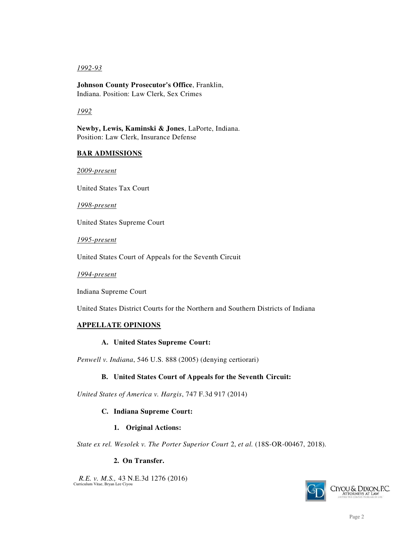### *1992-93*

**Johnson County Prosecutor's Office**, Franklin, Indiana. Position: Law Clerk, Sex Crimes

### *1992*

**Newby, Lewis, Kaminski & Jones**, LaPorte, Indiana. Position: Law Clerk, Insurance Defense

### **BAR ADMISSIONS**

*2009-present* 

United States Tax Court

*1998-present* 

United States Supreme Court

*1995-present* 

United States Court of Appeals for the Seventh Circuit

*1994-present* 

Indiana Supreme Court

United States District Courts for the Northern and Southern Districts of Indiana

### **APPELLATE OPINIONS**

### **A. United States Supreme Court:**

*Penwell v. Indiana*, 546 U.S. 888 (2005) (denying certiorari)

### **B. United States Court of Appeals for the Seventh Circuit:**

*United States of America v. Hargis*, 747 F.3d 917 (2014)

### **C. Indiana Supreme Court:**

### **1. Original Actions:**

*State ex rel. Wesolek v. The Porter Superior Court* 2, *et al.* (18S-OR-00467, 2018).

### **2. On Transfer.**

Curriculum Vitae, Bryan Lee Ciyou  *R.E. v. M.S.,* 43 N.E.3d 1276 (2016)

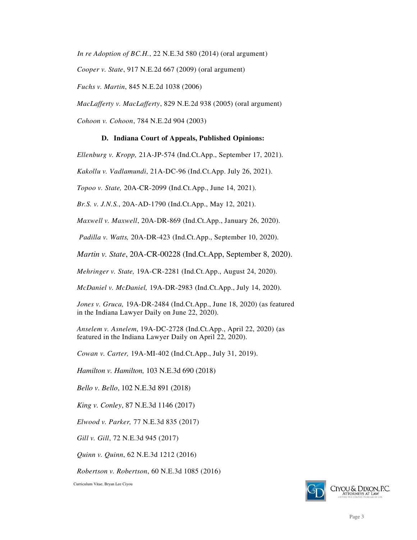*In re Adoption of BC.H.*, 22 N.E.3d 580 (2014) (oral argument)

*Cooper v. State*, 917 N.E.2d 667 (2009) (oral argument)

*Fuchs v. Martin*, 845 N.E.2d 1038 (2006)

*MacLafferty v. MacLafferty*, 829 N.E.2d 938 (2005) (oral argument)

*Cohoon v. Cohoon*, 784 N.E.2d 904 (2003)

### **D. Indiana Court of Appeals, Published Opinions:**

*Ellenburg v. Kropp,* 21A-JP-574 (Ind.Ct.App., September 17, 2021).

*Kakollu v. Vadlamundi*, 21A-DC-96 (Ind.Ct.App. July 26, 2021).

*Topoo v. State,* 20A-CR-2099 (Ind.Ct.App., June 14, 2021).

*Br.S. v. J.N.S.*, 20A-AD-1790 (Ind.Ct.App., May 12, 2021).

*Maxwell v. Maxwell*, 20A-DR-869 (Ind.Ct.App., January 26, 2020).

*Padilla v. Watts,* 20A-DR-423 (Ind.Ct.App., September 10, 2020).

*Martin v. State*, 20A-CR-00228 (Ind.Ct.App, September 8, 2020).

*Mehringer v. State,* 19A-CR-2281 (Ind.Ct.App., August 24, 2020).

*McDaniel v. McDaniel,* 19A-DR-2983 (Ind.Ct.App., July 14, 2020).

*Jones v. Gruca,* 19A-DR-2484 (Ind.Ct.App., June 18, 2020) (as featured in the Indiana Lawyer Daily on June 22, 2020).

*Anselem v. Asnelem*, 19A-DC-2728 (Ind.Ct.App., April 22, 2020) (as featured in the Indiana Lawyer Daily on April 22, 2020).

*Cowan v. Carter,* 19A-MI-402 (Ind.Ct.App., July 31, 2019).

*Hamilton v. Hamilton,* 103 N.E.3d 690 (2018)

*Bello v. Bello*, 102 N.E.3d 891 (2018)

*King v. Conley*, 87 N.E.3d 1146 (2017)

*Elwood v. Parker,* 77 N.E.3d 835 (2017)

*Gill v. Gill*, 72 N.E.3d 945 (2017)

*Quinn v. Quinn*, 62 N.E.3d 1212 (2016)

*Robertson v. Robertson*, 60 N.E.3d 1085 (2016)

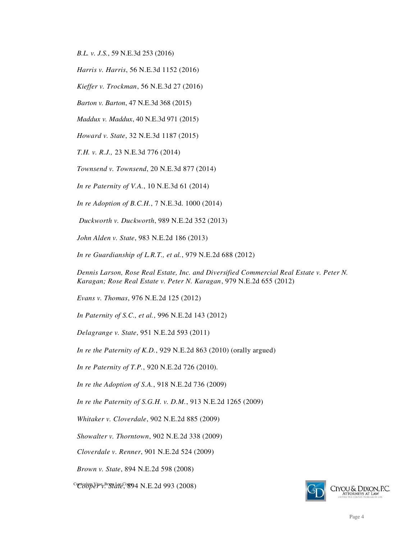*B.L. v. J.S.*, 59 N.E.3d 253 (2016)

*Harris v. Harris*, 56 N.E.3d 1152 (2016)

*Kieffer v. Trockman*, 56 N.E.3d 27 (2016)

*Barton v. Barton*, 47 N.E.3d 368 (2015)

*Maddux v. Maddux*, 40 N.E.3d 971 (2015)

*Howard v. State*, 32 N.E.3d 1187 (2015)

*T.H. v. R.J.,* 23 N.E.3d 776 (2014)

*Townsend v. Townsend*, 20 N.E.3d 877 (2014)

*In re Paternity of V.A.*, 10 N.E.3d 61 (2014)

*In re Adoption of B.C.H.*, 7 N.E.3d. 1000 (2014)

*Duckworth v. Duckworth*, 989 N.E.2d 352 (2013)

*John Alden v. State*, 983 N.E.2d 186 (2013)

*In re Guardianship of L.R.T., et al.*, 979 N.E.2d 688 (2012)

*Dennis Larson, Rose Real Estate, Inc. and Diversified Commercial Real Estate v. Peter N. Karagan; Rose Real Estate v. Peter N. Karagan*, 979 N.E.2d 655 (2012)

*Evans v. Thomas*, 976 N.E.2d 125 (2012)

*In Paternity of S.C., et al.*, 996 N.E.2d 143 (2012)

*Delagrange v. State*, 951 N.E.2d 593 (2011)

*In re the Paternity of K.D.*, 929 N.E.2d 863 (2010) (orally argued)

*In re Paternity of T.P.*, 920 N.E.2d 726 (2010).

*In re the Adoption of S.A.*, 918 N.E.2d 736 (2009)

*In re the Paternity of S.G.H. v. D.M.*, 913 N.E.2d 1265 (2009)

*Whitaker v. Cloverdale*, 902 N.E.2d 885 (2009)

*Showalter v. Thorntown*, 902 N.E.2d 338 (2009)

*Cloverdale v. Renner*, 901 N.E.2d 524 (2009)

*Brown v. State*, 894 N.E.2d 598 (2008)

<sup>Cu</sup>Coop&#ae<sub>v.</sub>Br&#d&E<sup>Ciy</sup>&94 N.E.2d 993 (2008)

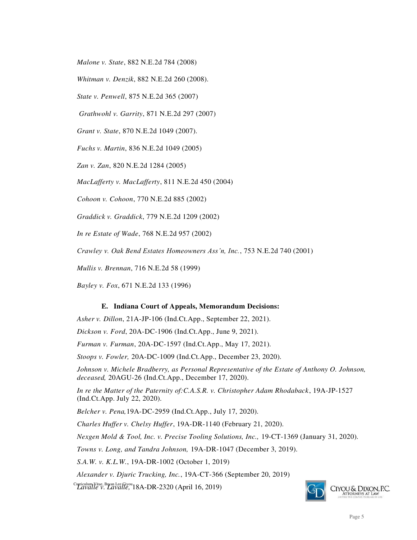*Malone v. State*, 882 N.E.2d 784 (2008)

*Whitman v. Denzik*, 882 N.E.2d 260 (2008).

*State v. Penwell*, 875 N.E.2d 365 (2007)

*Grathwohl v. Garrity*, 871 N.E.2d 297 (2007)

*Grant v. State*, 870 N.E.2d 1049 (2007).

*Fuchs v. Martin*, 836 N.E.2d 1049 (2005)

*Zan v. Zan*, 820 N.E.2d 1284 (2005)

*MacLafferty v. MacLafferty*, 811 N.E.2d 450 (2004)

*Cohoon v. Cohoon*, 770 N.E.2d 885 (2002)

*Graddick v. Graddick*, 779 N.E.2d 1209 (2002)

*In re Estate of Wade*, 768 N.E.2d 957 (2002)

*Crawley v. Oak Bend Estates Homeowners Ass'n, Inc.*, 753 N.E.2d 740 (2001)

*Mullis v. Brennan*, 716 N.E.2d 58 (1999)

*Bayley v. Fox*, 671 N.E.2d 133 (1996)

#### **E. Indiana Court of Appeals, Memorandum Decisions:**

*Asher v. Dillon*, 21A-JP-106 (Ind.Ct.App., September 22, 2021).

*Dickson v. Ford*, 20A-DC-1906 (Ind.Ct.App., June 9, 2021).

*Furman v. Furman*, 20A-DC-1597 (Ind.Ct.App., May 17, 2021).

*Stoops v. Fowler,* 20A-DC-1009 (Ind.Ct.App., December 23, 2020).

*Johnson v. Michele Bradberry, as Personal Representative of the Estate of Anthony O. Johnson, deceased,* 20AGU-26 (Ind.Ct.App., December 17, 2020).

*In re the Matter of the Paternity of:C.A.S.R. v. Christopher Adam Rhodaback*, 19A-JP-1527 (Ind.Ct.App. July 22, 2020).

*Belcher v. Pena,*19A-DC-2959 (Ind.Ct.App., July 17, 2020).

*Charles Huffer v. Chelsy Huffer*, 19A-DR-1140 (February 21, 2020).

*Nexgen Mold & Tool, Inc. v. Precise Tooling Solutions, Inc.,* 19-CT-1369 (January 31, 2020).

*Towns v. Long, and Tandra Johnson,* 19A-DR-1047 (December 3, 2019).

*S.A.W. v. K.L.W.*, 19A-DR-1002 (October 1, 2019)

*Alexander v. Djuric Trucking, Inc.*, 19A-CT-366 (September 20, 2019)

Curriculum Vitae, Bryan Lee Ciyou *Lavalle v. Lavalle,* 18A-DR-2320 (April 16, 2019)

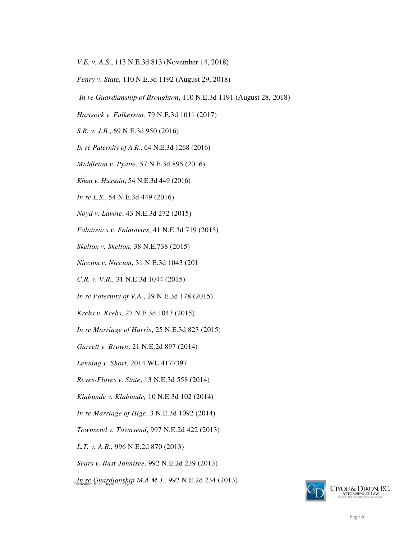*V.E. v. A.S.*, 113 N.E.3d 813 (November 14, 2018)

*Penry v. State,* 110 N.E.3d 1192 (August 29, 2018)

*In re Guardianship of Broughton*, 110 N.E.3d 1191 (August 28, 2018)

*Hartsock v. Fulkerson,* 79 N.E.3d 1011 (2017)

*S.B. v. J.B.*, 69 N.E.3d 950 (2016)

*In re Paternity of A.R.*, 64 N.E.3d 1268 (2016)

*Middleton v. Pyatte*, 57 N.E.3d 895 (2016)

*Khan v. Hussain*, 54 N.E.3d 449 (2016)

*In re L.S.*, 54 N.E.3d 449 (2016)

*Noyd v. Lavoie*, 43 N.E.3d 272 (2015)

*Falatovics v. Falatovics*, 41 N.E.3d 719 (2015)

*Skelton v. Skelton*, 38 N.E.738 (2015)

*Niccum v. Niccum*, 31 N.E.3d 1043 (201

*C.R. v. V.R.*, 31 N.E.3d 1044 (2015)

*In re Paternity of V.A.*, 29 N.E.3d 178 (2015)

*Krebs v. Krebs*, 27 N.E.3d 1043 (2015)

*In re Marriage of Harris*, 25 N.E.3d 823 (2015)

*Garrett v. Brown*, 21 N.E.2d 897 (2014)

*Lenning v. Short*, 2014 WL 4177397

*Reyes-Flores v. State*, 13 N.E.3d 558 (2014)

*Klabunde v. Klabunde,* 10 N.E.3d 102 (2014)

*In re Marriage of Hige*, 3 N.E.3d 1092 (2014)

*Townsend v. Townsend*, 997 N.E.2d 422 (2013)

*L.T. v. A.B.*, 996 N.E.2d 870 (2013)

*Sears v. Rust-Johnisee*, 992 N.E.2d 239 (2013)

Curriculum Vitae, Bryan Lee Ciyou *In re Guardianship M.A.M.J.*, 992 N.E.2d 234 (2013)

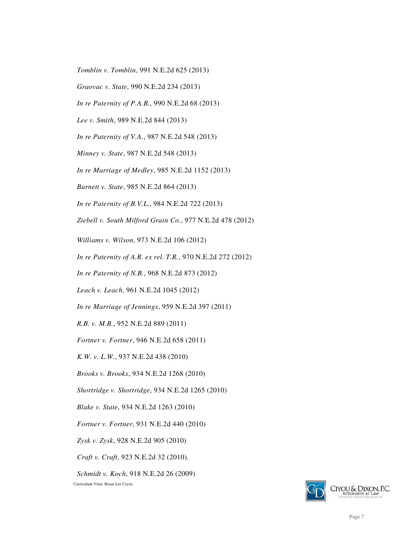*Tomblin v. Tomblin*, 991 N.E.2d 625 (2013)

*Graovac v. State*, 990 N.E.2d 234 (2013)

*In re Paternity of P.A.B.*, 990 N.E.2d 68 (2013)

*Lee v. Smith*, 989 N.E.2d 844 (2013)

*In re Paternity of V.A.*, 987 N.E.2d 548 (2013)

*Minney v. State*, 987 N.E.2d 548 (2013)

*In re Marriage of Medley*, 985 N.E.2d 1152 (2013)

*Barnett v. State*, 985 N.E.2d 864 (2013)

*In re Paternity of B.V.L.*, 984 N.E.2d 722 (2013)

*Ziebell v. South Milford Grain Co.*, 977 N.E.2d 478 (2012)

*Williams v. Wilson*, 973 N.E.2d 106 (2012)

*In re Paternity of A.R. ex rel. T.R.*, 970 N.E.2d 272 (2012)

*In re Paternity of N.B.*, 968 N.E.2d 873 (2012)

*Leach v. Leach*, 961 N.E.2d 1045 (2012)

*In re Marriage of Jennings*, 959 N.E.2d 397 (2011)

*R.B. v. M.B.*, 952 N.E.2d 889 (2011)

*Fortner v. Fortner*, 946 N.E.2d 658 (2011)

*K.W. v. L.W.*, 937 N.E.2d 438 (2010)

*Brooks v. Brooks*, 934 N.E.2d 1268 (2010)

*Shortridge v. Shortridge*, 934 N.E.2d 1265 (2010)

*Blake v. State*, 934 N.E.2d 1263 (2010)

*Fortner v. Fortner*, 931 N.E.2d 440 (2010)

*Zysk v. Zysk*, 928 N.E.2d 905 (2010)

*Craft v. Craft*, 923 N.E.2d 32 (2010).

*Schmidt v. Koch*, 918 N.E.2d 26 (2009)

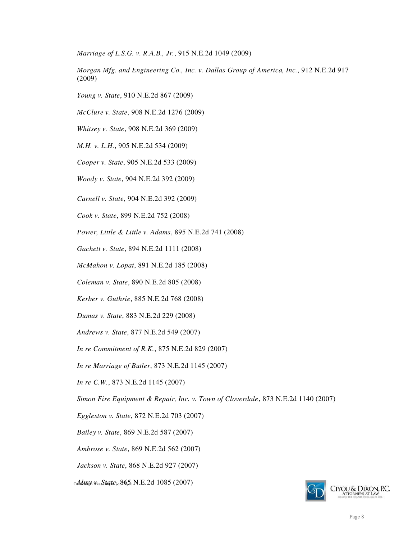*Marriage of L.S.G. v. R.A.B., Jr.*, 915 N.E.2d 1049 (2009)

*Morgan Mfg. and Engineering Co., Inc. v. Dallas Group of America, Inc.*, 912 N.E.2d 917 (2009)

- *Young v. State*, 910 N.E.2d 867 (2009)
- *McClure v. State*, 908 N.E.2d 1276 (2009)

*Whitsey v. State*, 908 N.E.2d 369 (2009)

*M.H. v. L.H.*, 905 N.E.2d 534 (2009)

*Cooper v. State*, 905 N.E.2d 533 (2009)

*Woody v. State*, 904 N.E.2d 392 (2009)

*Carnell v. State*, 904 N.E.2d 392 (2009)

*Cook v. State*, 899 N.E.2d 752 (2008)

*Power, Little & Little v. Adams*, 895 N.E.2d 741 (2008)

*Gachett v. State*, 894 N.E.2d 1111 (2008)

*McMahon v. Lopat*, 891 N.E.2d 185 (2008)

*Coleman v. State*, 890 N.E.2d 805 (2008)

*Kerber v. Guthrie*, 885 N.E.2d 768 (2008)

*Dumas v. State*, 883 N.E.2d 229 (2008)

*Andrews v. State*, 877 N.E.2d 549 (2007)

*In re Commitment of R.K.*, 875 N.E.2d 829 (2007)

*In re Marriage of Butler*, 873 N.E.2d 1145 (2007)

*In re C.W.*, 873 N.E.2d 1145 (2007)

*Simon Fire Equipment & Repair, Inc. v. Town of Cloverdale*, 873 N.E.2d 1140 (2007)

*Eggleston v. State*, 872 N.E.2d 703 (2007)

*Bailey v. State*, 869 N.E.2d 587 (2007)

*Ambrose v. State*, 869 N.E.2d 562 (2007)

*Jackson v. State*, 868 N.E.2d 927 (2007)

Curriculum Vitae, Bryan Lee Ciyou *Almy v. State*, 865 N.E.2d 1085 (2007)

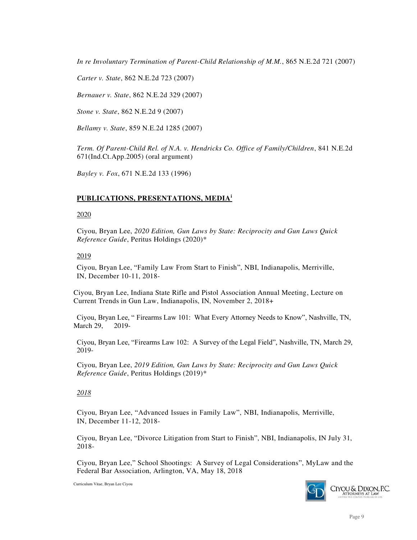*In re Involuntary Termination of Parent-Child Relationship of M.M.*, 865 N.E.2d 721 (2007)

*Carter v. State*, 862 N.E.2d 723 (2007)

*Bernauer v. State*, 862 N.E.2d 329 (2007)

*Stone v. State*, 862 N.E.2d 9 (2007)

*Bellamy v. State*, 859 N.E.2d 1285 (2007)

*Term. Of Parent-Child Rel. of N.A. v. Hendricks Co. Office of Family/Children*, 841 N.E.2d 671(Ind.Ct.App.2005) (oral argument)

*Bayley v. Fox*, 671 N.E.2d 133 (1996)

#### **PUBLICATIONS, PRESENTATIONS, MEDIA<sup>i</sup>**

#### 2020

Ciyou, Bryan Lee, *2020 Edition, Gun Laws by State: Reciprocity and Gun Laws Quick Reference Guide*, Peritus Holdings (2020)\*

#### 2019

Ciyou, Bryan Lee, "Family Law From Start to Finish", NBI, Indianapolis, Merriville, IN, December 10-11, 2018-

Ciyou, Bryan Lee, Indiana State Rifle and Pistol Association Annual Meeting, Lecture on Current Trends in Gun Law, Indianapolis, IN, November 2, 2018+

Ciyou, Bryan Lee, " Firearms Law 101: What Every Attorney Needs to Know", Nashville, TN, March 29, 2019-

Ciyou, Bryan Lee, "Firearms Law 102: A Survey of the Legal Field", Nashville, TN, March 29, 2019-

Ciyou, Bryan Lee, *2019 Edition, Gun Laws by State: Reciprocity and Gun Laws Quick Reference Guide*, Peritus Holdings (2019)\*

#### *2018*

Ciyou, Bryan Lee, "Advanced Issues in Family Law", NBI, Indianapolis, Merriville, IN, December 11-12, 2018-

Ciyou, Bryan Lee, "Divorce Litigation from Start to Finish", NBI, Indianapolis, IN July 31, 2018-

Ciyou, Bryan Lee," School Shootings: A Survey of Legal Considerations", MyLaw and the Federal Bar Association, Arlington, VA, May 18, 2018

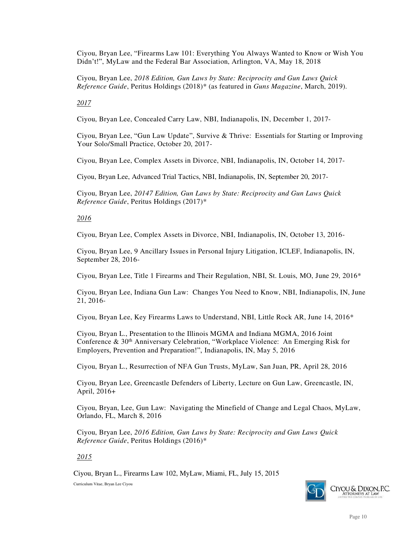Ciyou, Bryan Lee, "Firearms Law 101: Everything You Always Wanted to Know or Wish You Didn't!", MyLaw and the Federal Bar Association, Arlington, VA, May 18, 2018

Ciyou, Bryan Lee, *2018 Edition, Gun Laws by State: Reciprocity and Gun Laws Quick Reference Guide*, Peritus Holdings (2018)\* (as featured in *Guns Magazine*, March, 2019).

*2017* 

Ciyou, Bryan Lee, Concealed Carry Law, NBI, Indianapolis, IN, December 1, 2017-

Ciyou, Bryan Lee, "Gun Law Update", Survive & Thrive: Essentials for Starting or Improving Your Solo/Small Practice, October 20, 2017-

Ciyou, Bryan Lee, Complex Assets in Divorce, NBI, Indianapolis, IN, October 14, 2017-

Ciyou, Bryan Lee, Advanced Trial Tactics, NBI, Indianapolis, IN, September 20, 2017-

Ciyou, Bryan Lee, *20147 Edition, Gun Laws by State: Reciprocity and Gun Laws Quick Reference Guide*, Peritus Holdings (2017)\*

### *2016*

Ciyou, Bryan Lee, Complex Assets in Divorce, NBI, Indianapolis, IN, October 13, 2016-

Ciyou, Bryan Lee, 9 Ancillary Issues in Personal Injury Litigation, ICLEF, Indianapolis, IN, September 28, 2016-

Ciyou, Bryan Lee, Title 1 Firearms and Their Regulation, NBI, St. Louis, MO, June 29, 2016\*

Ciyou, Bryan Lee, Indiana Gun Law: Changes You Need to Know, NBI, Indianapolis, IN, June 21, 2016-

Ciyou, Bryan Lee, Key Firearms Laws to Understand, NBI, Little Rock AR, June 14, 2016\*

Ciyou, Bryan L., Presentation to the Illinois MGMA and Indiana MGMA, 2016 Joint Conference & 30th Anniversary Celebration, "Workplace Violence: An Emerging Risk for Employers, Prevention and Preparation!", Indianapolis, IN, May 5, 2016

Ciyou, Bryan L., Resurrection of NFA Gun Trusts, MyLaw, San Juan, PR, April 28, 2016

Ciyou, Bryan Lee, Greencastle Defenders of Liberty, Lecture on Gun Law, Greencastle, IN, April, 2016+

Ciyou, Bryan, Lee, Gun Law: Navigating the Minefield of Change and Legal Chaos, MyLaw, Orlando, FL, March 8, 2016

Ciyou, Bryan Lee, *2016 Edition, Gun Laws by State: Reciprocity and Gun Laws Quick Reference Guide*, Peritus Holdings (2016)\*

### *2015*

Ciyou, Bryan L., Firearms Law 102, MyLaw, Miami, FL, July 15, 2015

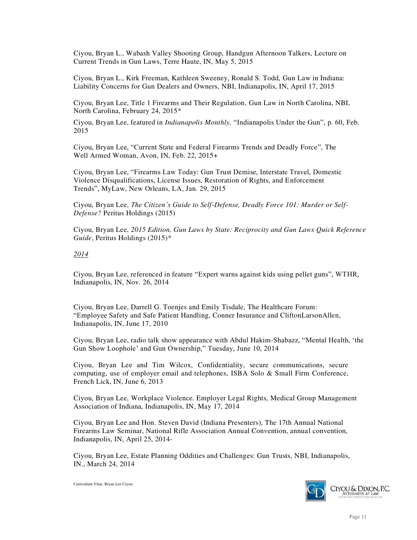Ciyou, Bryan L., Wabash Valley Shooting Group, Handgun Afternoon Talkers, Lecture on Current Trends in Gun Laws, Terre Haute, IN, May 5, 2015

Ciyou, Bryan L., Kirk Freeman, Kathleen Sweeney, Ronald S. Todd, Gun Law in Indiana: Liability Concerns for Gun Dealers and Owners, NBI, Indianapolis, IN, April 17, 2015

Ciyou, Bryan Lee, Title 1 Firearms and Their Regulation, Gun Law in North Carolina, NBI, North Carolina, February 24, 2015\*

Ciyou, Bryan Lee, featured in *Indianapolis Monthly,* "Indianapolis Under the Gun", p. 60, Feb. 2015

Ciyou, Bryan Lee, "Current State and Federal Firearms Trends and Deadly Force", The Well Armed Woman, Avon, IN, Feb. 22, 2015+

Ciyou, Bryan Lee, "Firearms Law Today: Gun Trust Demise, Interstate Travel, Domestic Violence Disqualifications, License Issues, Restoration of Rights, and Enforcement Trends", MyLaw, New Orleans, LA, Jan. 29, 2015

Ciyou, Bryan Lee, *The Citizen's Guide to Self-Defense, Deadly Force 101: Murder or Self-Defense?* Peritus Holdings (2015)

Ciyou, Bryan Lee, *2015 Edition, Gun Laws by State: Reciprocity and Gun Laws Quick Reference Guide*, Peritus Holdings (2015)\*

#### *2014*

Ciyou, Bryan Lee, referenced in feature "Expert warns against kids using pellet guns", WTHR, Indianapolis, IN, Nov. 26, 2014

Ciyou, Bryan Lee, Darrell G. Toenjes and Emily Tisdale, The Healthcare Forum: "Employee Safety and Safe Patient Handling, Conner Insurance and CliftonLarsonAllen, Indianapolis, IN, June 17, 2010

Ciyou, Bryan Lee, radio talk show appearance with Abdul Hakim-Shabazz, "Mental Health, 'the Gun Show Loophole' and Gun Ownership," Tuesday, June 10, 2014

Ciyou, Bryan Lee and Tim Wilcox, Confidentiality, secure communications, secure computing, use of employer email and telephones, ISBA Solo & Small Firm Conference, French Lick, IN, June 6, 2013

Ciyou, Bryan Lee, Workplace Violence. Employer Legal Rights, Medical Group Management Association of Indiana, Indianapolis, IN, May 17, 2014

Ciyou, Bryan Lee and Hon. Steven David (Indiana Presenters), The 17th Annual National Firearms Law Seminar, National Rifle Association Annual Convention, annual convention, Indianapolis, IN, April 25, 2014-

Ciyou, Bryan Lee, Estate Planning Oddities and Challenges: Gun Trusts, NBI, Indianapolis, IN., March 24, 2014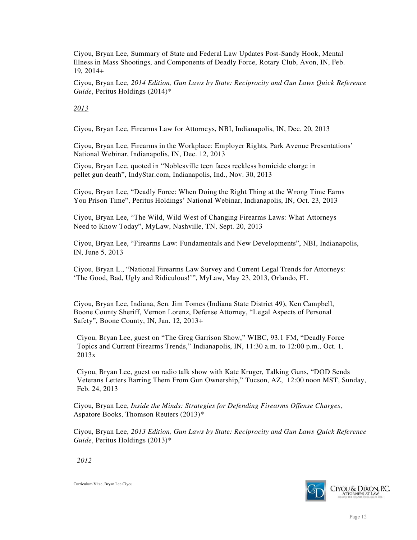Ciyou, Bryan Lee, Summary of State and Federal Law Updates Post-Sandy Hook, Mental Illness in Mass Shootings, and Components of Deadly Force, Rotary Club, Avon, IN, Feb. 19, 2014+

Ciyou, Bryan Lee, *2014 Edition, Gun Laws by State: Reciprocity and Gun Laws Quick Reference Guide*, Peritus Holdings (2014)\*

*2013*

Ciyou, Bryan Lee, Firearms Law for Attorneys, NBI, Indianapolis, IN, Dec. 20, 2013

Ciyou, Bryan Lee, Firearms in the Workplace: Employer Rights, Park Avenue Presentations' National Webinar, Indianapolis, IN, Dec. 12, 2013

Ciyou, Bryan Lee, quoted in "Noblesville teen faces reckless homicide charge in pellet gun death", IndyStar.com, Indianapolis, Ind., Nov. 30, 2013

Ciyou, Bryan Lee, "Deadly Force: When Doing the Right Thing at the Wrong Time Earns You Prison Time", Peritus Holdings' National Webinar, Indianapolis, IN, Oct. 23, 2013

Ciyou, Bryan Lee, "The Wild, Wild West of Changing Firearms Laws: What Attorneys Need to Know Today", MyLaw, Nashville, TN, Sept. 20, 2013

Ciyou, Bryan Lee, "Firearms Law: Fundamentals and New Developments", NBI, Indianapolis, IN, June 5, 2013

Ciyou, Bryan L., "National Firearms Law Survey and Current Legal Trends for Attorneys: 'The Good, Bad, Ugly and Ridiculous!'", MyLaw, May 23, 2013, Orlando, FL

Ciyou, Bryan Lee, Indiana, Sen. Jim Tomes (Indiana State District 49), Ken Campbell, Boone County Sheriff, Vernon Lorenz, Defense Attorney, "Legal Aspects of Personal Safety", Boone County, IN, Jan. 12, 2013+

Ciyou, Bryan Lee, guest on "The Greg Garrison Show," WIBC, 93.1 FM, "Deadly Force Topics and Current Firearms Trends," Indianapolis, IN, 11:30 a.m. to 12:00 p.m., Oct. 1, 2013x

Ciyou, Bryan Lee, guest on radio talk show with Kate Kruger, Talking Guns, "DOD Sends Veterans Letters Barring Them From Gun Ownership," Tucson, AZ, 12:00 noon MST, Sunday, Feb. 24, 2013

Ciyou, Bryan Lee, *Inside the Minds: Strategies for Defending Firearms Offense Charges*, Aspatore Books, Thomson Reuters (2013)\*

Ciyou, Bryan Lee, *2013 Edition, Gun Laws by State: Reciprocity and Gun Laws Quick Reference Guide*, Peritus Holdings (2013)\*

*2012*

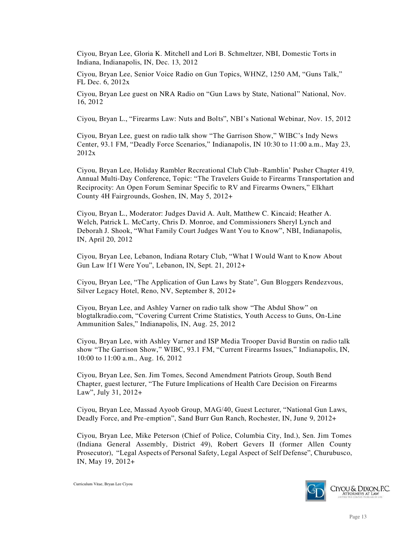Ciyou, Bryan Lee, Gloria K. Mitchell and Lori B. Schmeltzer, NBI, Domestic Torts in Indiana, Indianapolis, IN, Dec. 13, 2012

Ciyou, Bryan Lee, Senior Voice Radio on Gun Topics, WHNZ, 1250 AM, "Guns Talk," FL Dec. 6, 2012x

Ciyou, Bryan Lee guest on NRA Radio on "Gun Laws by State, National" National, Nov. 16, 2012

Ciyou, Bryan L., "Firearms Law: Nuts and Bolts", NBI's National Webinar, Nov. 15, 2012

Ciyou, Bryan Lee, guest on radio talk show "The Garrison Show," WIBC's Indy News Center, 93.1 FM, "Deadly Force Scenarios," Indianapolis, IN 10:30 to 11:00 a.m., May 23, 2012x

Ciyou, Bryan Lee, Holiday Rambler Recreational Club Club–Ramblin' Pusher Chapter 419, Annual Multi-Day Conference, Topic: "The Travelers Guide to Firearms Transportation and Reciprocity: An Open Forum Seminar Specific to RV and Firearms Owners," Elkhart County 4H Fairgrounds, Goshen, IN, May 5, 2012+

Ciyou, Bryan L., Moderator: Judges David A. Ault, Matthew C. Kincaid; Heather A. Welch, Patrick L. McCarty, Chris D. Monroe, and Commissioners Sheryl Lynch and Deborah J. Shook, "What Family Court Judges Want You to Know", NBI, Indianapolis, IN, April 20, 2012

Ciyou, Bryan Lee, Lebanon, Indiana Rotary Club, "What I Would Want to Know About Gun Law If I Were You", Lebanon, IN, Sept. 21, 2012+

Ciyou, Bryan Lee, "The Application of Gun Laws by State", Gun Bloggers Rendezvous, Silver Legacy Hotel, Reno, NV, September 8, 2012+

Ciyou, Bryan Lee, and Ashley Varner on radio talk show "The Abdul Show" on blogtalkradio.com, "Covering Current Crime Statistics, Youth Access to Guns, On-Line Ammunition Sales," Indianapolis, IN, Aug. 25, 2012

Ciyou, Bryan Lee, with Ashley Varner and ISP Media Trooper David Burstin on radio talk show "The Garrison Show," WIBC, 93.1 FM, "Current Firearms Issues," Indianapolis, IN, 10:00 to 11:00 a.m., Aug. 16, 2012

Ciyou, Bryan Lee, Sen. Jim Tomes, Second Amendment Patriots Group, South Bend Chapter, guest lecturer, "The Future Implications of Health Care Decision on Firearms Law", July 31, 2012+

Ciyou, Bryan Lee, Massad Ayoob Group, MAG/40, Guest Lecturer, "National Gun Laws, Deadly Force, and Pre-emption", Sand Burr Gun Ranch, Rochester, IN, June 9, 2012+

Ciyou, Bryan Lee, Mike Peterson (Chief of Police, Columbia City, Ind.), Sen. Jim Tomes (Indiana General Assembly, District 49), Robert Gevers II (former Allen County Prosecutor), "Legal Aspects of Personal Safety, Legal Aspect of Self Defense", Churubusco, IN, May 19, 2012+

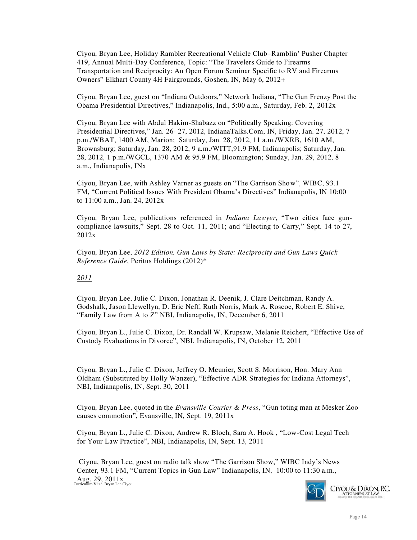Ciyou, Bryan Lee, Holiday Rambler Recreational Vehicle Club–Ramblin' Pusher Chapter 419, Annual Multi-Day Conference, Topic: "The Travelers Guide to Firearms Transportation and Reciprocity: An Open Forum Seminar Specific to RV and Firearms Owners" Elkhart County 4H Fairgrounds, Goshen, IN, May 6, 2012+

Ciyou, Bryan Lee, guest on "Indiana Outdoors," Network Indiana, "The Gun Frenzy Post the Obama Presidential Directives," Indianapolis, Ind., 5:00 a.m., Saturday, Feb. 2, 2012x

Ciyou, Bryan Lee with Abdul Hakim-Shabazz on "Politically Speaking: Covering Presidential Directives," Jan. 26- 27, 2012, IndianaTalks.Com, IN, Friday, Jan. 27, 2012, 7 p.m./WBAT, 1400 AM, Marion; Saturday, Jan. 28, 2012, 11 a.m./WXRB, 1610 AM, Brownsburg; Saturday, Jan. 28, 2012, 9 a.m./WITT,91.9 FM, Indianapolis; Saturday, Jan. 28, 2012, 1 p.m./WGCL, 1370 AM & 95.9 FM, Bloomington; Sunday, Jan. 29, 2012, 8 a.m., Indianapolis, INx

Ciyou, Bryan Lee, with Ashley Varner as guests on "The Garrison Show", WIBC, 93.1 FM, "Current Political Issues With President Obama's Directives" Indianapolis, IN 10:00 to 11:00 a.m., Jan. 24, 2012x

Ciyou, Bryan Lee, publications referenced in *Indiana Lawyer*, "Two cities face guncompliance lawsuits," Sept. 28 to Oct. 11, 2011; and "Electing to Carry," Sept. 14 to 27, 2012x

Ciyou, Bryan Lee, *2012 Edition, Gun Laws by State: Reciprocity and Gun Laws Quick Reference Guide*, Peritus Holdings (2012)\*

#### *2011*

Ciyou, Bryan Lee, Julie C. Dixon, Jonathan R. Deenik, J. Clare Deitchman, Randy A. Godshalk, Jason Llewellyn, D. Eric Neff, Ruth Norris, Mark A. Roscoe, Robert E. Shive, "Family Law from A to Z" NBI, Indianapolis, IN, December 6, 2011

Ciyou, Bryan L., Julie C. Dixon, Dr. Randall W. Krupsaw, Melanie Reichert, "Effective Use of Custody Evaluations in Divorce", NBI, Indianapolis, IN, October 12, 2011

Ciyou, Bryan L., Julie C. Dixon, Jeffrey O. Meunier, Scott S. Morrison, Hon. Mary Ann Oldham (Substituted by Holly Wanzer), "Effective ADR Strategies for Indiana Attorneys", NBI, Indianapolis, IN, Sept. 30, 2011

Ciyou, Bryan Lee, quoted in the *Evansville Courier & Press*, "Gun toting man at Mesker Zoo causes commotion", Evansville, IN, Sept. 19, 2011x

Ciyou, Bryan L., Julie C. Dixon, Andrew R. Bloch, Sara A. Hook , "Low-Cost Legal Tech for Your Law Practice", NBI, Indianapolis, IN, Sept. 13, 2011

 $\text{Aug. } 29, 2011 \text{ x}$ Curriculum Vitae, Bryan Lee Ciyou Ciyou, Bryan Lee, guest on radio talk show "The Garrison Show," WIBC Indy's News Center, 93.1 FM, "Current Topics in Gun Law" Indianapolis, IN, 10:00 to 11:30 a.m.,

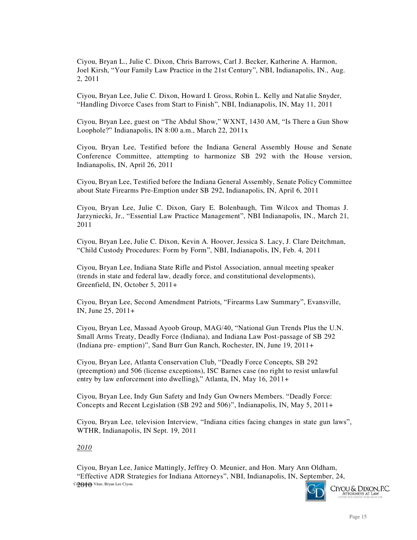Ciyou, Bryan L., Julie C. Dixon, Chris Barrows, Carl J. Becker, Katherine A. Harmon, Joel Kirsh, "Your Family Law Practice in the 21st Century", NBI, Indianapolis, IN., Aug. 2, 2011

Ciyou, Bryan Lee, Julie C. Dixon, Howard I. Gross, Robin L. Kelly and Natalie Snyder, "Handling Divorce Cases from Start to Finish", NBI, Indianapolis, IN, May 11, 2011

Ciyou, Bryan Lee, guest on "The Abdul Show," WXNT, 1430 AM, "Is There a Gun Show Loophole?" Indianapolis, IN 8:00 a.m., March 22, 2011x

Ciyou, Bryan Lee, Testified before the Indiana General Assembly House and Senate Conference Committee, attempting to harmonize SB 292 with the House version, Indianapolis, IN, April 26, 2011

Ciyou, Bryan Lee, Testified before the Indiana General Assembly, Senate Policy Committee about State Firearms Pre-Emption under SB 292, Indianapolis, IN, April 6, 2011

Ciyou, Bryan Lee, Julie C. Dixon, Gary E. Bolenbaugh, Tim Wilcox and Thomas J. Jarzyniecki, Jr., "Essential Law Practice Management", NBI Indianapolis, IN., March 21, 2011

Ciyou, Bryan Lee, Julie C. Dixon, Kevin A. Hoover, Jessica S. Lacy, J. Clare Deitchman, "Child Custody Procedures: Form by Form", NBI, Indianapolis, IN, Feb. 4, 2011

Ciyou, Bryan Lee, Indiana State Rifle and Pistol Association, annual meeting speaker (trends in state and federal law, deadly force, and constitutional developments), Greenfield, IN, October 5, 2011+

Ciyou, Bryan Lee, Second Amendment Patriots, "Firearms Law Summary", Evansville, IN, June 25, 2011+

Ciyou, Bryan Lee, Massad Ayoob Group, MAG/40, "National Gun Trends Plus the U.N. Small Arms Treaty, Deadly Force (Indiana), and Indiana Law Post-passage of SB 292 (Indiana pre- emption)", Sand Burr Gun Ranch, Rochester, IN, June 19, 2011+

Ciyou, Bryan Lee, Atlanta Conservation Club, "Deadly Force Concepts, SB 292 (preemption) and 506 (license exceptions), ISC Barnes case (no right to resist unlawful entry by law enforcement into dwelling)," Atlanta, IN, May 16, 2011+

Ciyou, Bryan Lee, Indy Gun Safety and Indy Gun Owners Members. "Deadly Force: Concepts and Recent Legislation (SB 292 and 506)", Indianapolis, IN, May 5, 2011+

Ciyou, Bryan Lee, television Interview, "Indiana cities facing changes in state gun laws", WTHR, Indianapolis, IN Sept. 19, 2011

*2010*

Cu**2r() all (th** Vitae, Bryan Lee Ciyou Ciyou, Bryan Lee, Janice Mattingly, Jeffrey O. Meunier, and Hon. Mary Ann Oldham, "Effective ADR Strategies for Indiana Attorneys", NBI, Indianapolis, IN, September, 24,

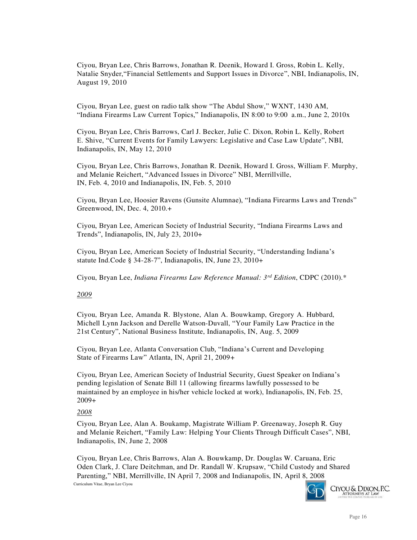Ciyou, Bryan Lee, Chris Barrows, Jonathan R. Deenik, Howard I. Gross, Robin L. Kelly, Natalie Snyder,"Financial Settlements and Support Issues in Divorce", NBI, Indianapolis, IN, August 19, 2010

Ciyou, Bryan Lee, guest on radio talk show "The Abdul Show," WXNT, 1430 AM, "Indiana Firearms Law Current Topics," Indianapolis, IN 8:00 to 9:00 a.m., June 2, 2010x

Ciyou, Bryan Lee, Chris Barrows, Carl J. Becker, Julie C. Dixon, Robin L. Kelly, Robert E. Shive, "Current Events for Family Lawyers: Legislative and Case Law Update", NBI, Indianapolis, IN, May 12, 2010

Ciyou, Bryan Lee, Chris Barrows, Jonathan R. Deenik, Howard I. Gross, William F. Murphy, and Melanie Reichert, "Advanced Issues in Divorce" NBI, Merrillville, IN, Feb. 4, 2010 and Indianapolis, IN, Feb. 5, 2010

Ciyou, Bryan Lee, Hoosier Ravens (Gunsite Alumnae), "Indiana Firearms Laws and Trends" Greenwood, IN, Dec. 4, 2010.+

Ciyou, Bryan Lee, American Society of Industrial Security, "Indiana Firearms Laws and Trends", Indianapolis, IN, July 23, 2010+

Ciyou, Bryan Lee, American Society of Industrial Security, "Understanding Indiana's statute Ind.Code § 34-28-7", Indianapolis, IN, June 23, 2010+

Ciyou, Bryan Lee, *Indiana Firearms Law Reference Manual: 3rd Edition*, CDPC (2010).\*

#### *2009*

Ciyou, Bryan Lee, Amanda R. Blystone, Alan A. Bouwkamp, Gregory A. Hubbard, Michell Lynn Jackson and Derelle Watson-Duvall, "Your Family Law Practice in the 21st Century", National Business Institute, Indianapolis, IN, Aug. 5, 2009

Ciyou, Bryan Lee, Atlanta Conversation Club, "Indiana's Current and Developing State of Firearms Law" Atlanta, IN, April 21, 2009+

Ciyou, Bryan Lee, American Society of Industrial Security, Guest Speaker on Indiana's pending legislation of Senate Bill 11 (allowing firearms lawfully possessed to be maintained by an employee in his/her vehicle locked at work), Indianapolis, IN, Feb. 25, 2009+

#### *2008*

Ciyou, Bryan Lee, Alan A. Boukamp, Magistrate William P. Greenaway, Joseph R. Guy and Melanie Reichert, "Family Law: Helping Your Clients Through Difficult Cases", NBI, Indianapolis, IN, June 2, 2008

Curriculum Vitae, Bryan Lee Ciyou Ciyou, Bryan Lee, Chris Barrows, Alan A. Bouwkamp, Dr. Douglas W. Caruana, Eric Oden Clark, J. Clare Deitchman, and Dr. Randall W. Krupsaw, "Child Custody and Shared Parenting," NBI, Merrillville, IN April 7, 2008 and Indianapolis, IN, April 8, 2008

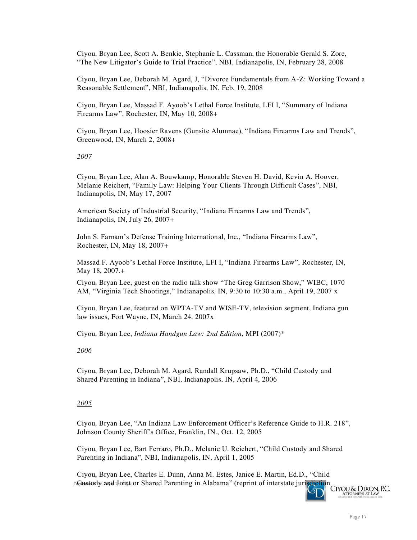Ciyou, Bryan Lee, Scott A. Benkie, Stephanie L. Cassman, the Honorable Gerald S. Zore, "The New Litigator's Guide to Trial Practice", NBI, Indianapolis, IN, February 28, 2008

Ciyou, Bryan Lee, Deborah M. Agard, J, "Divorce Fundamentals from A-Z: Working Toward a Reasonable Settlement", NBI, Indianapolis, IN, Feb. 19, 2008

Ciyou, Bryan Lee, Massad F. Ayoob's Lethal Force Institute, LFI I, "Summary of Indiana Firearms Law", Rochester, IN, May 10, 2008+

Ciyou, Bryan Lee, Hoosier Ravens (Gunsite Alumnae), "Indiana Firearms Law and Trends", Greenwood, IN, March 2, 2008+

#### *2007*

Ciyou, Bryan Lee, Alan A. Bouwkamp, Honorable Steven H. David, Kevin A. Hoover, Melanie Reichert, "Family Law: Helping Your Clients Through Difficult Cases", NBI, Indianapolis, IN, May 17, 2007

American Society of Industrial Security, "Indiana Firearms Law and Trends", Indianapolis, IN, July 26, 2007+

John S. Farnam's Defense Training International, Inc., "Indiana Firearms Law", Rochester, IN, May 18, 2007+

Massad F. Ayoob's Lethal Force Institute, LFI I, "Indiana Firearms Law", Rochester, IN, May 18, 2007.+

Ciyou, Bryan Lee, guest on the radio talk show "The Greg Garrison Show," WIBC, 1070 AM, "Virginia Tech Shootings," Indianapolis, IN, 9:30 to 10:30 a.m., April 19, 2007 x

Ciyou, Bryan Lee, featured on WPTA-TV and WISE-TV, television segment, Indiana gun law issues, Fort Wayne, IN, March 24, 2007x

Ciyou, Bryan Lee, *Indiana Handgun Law: 2nd Edition*, MPI (2007)\*

### *2006*

Ciyou, Bryan Lee, Deborah M. Agard, Randall Krupsaw, Ph.D., "Child Custody and Shared Parenting in Indiana", NBI, Indianapolis, IN, April 4, 2006

### *2005*

Ciyou, Bryan Lee, "An Indiana Law Enforcement Officer's Reference Guide to H.R. 218", Johnson County Sheriff's Office, Franklin, IN., Oct. 12, 2005

Ciyou, Bryan Lee, Bart Ferraro, Ph.D., Melanie U. Reichert, "Child Custody and Shared Parenting in Indiana", NBI, Indianapolis, IN, April 1, 2005

cGustody and Leint or Shared Parenting in Alabama" (reprint of interstate jurisdiction Ciyou, Bryan Lee, Charles E. Dunn, Anna M. Estes, Janice E. Martin, Ed.D., "Child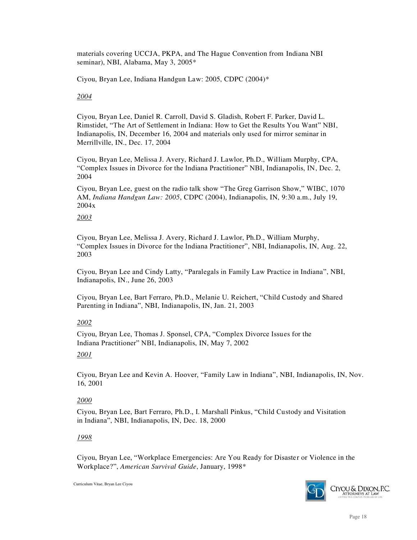materials covering UCCJA, PKPA, and The Hague Convention from Indiana NBI seminar), NBI, Alabama, May 3, 2005\*

Ciyou, Bryan Lee, Indiana Handgun Law: 2005, CDPC (2004)\*

### *2004*

Ciyou, Bryan Lee, Daniel R. Carroll, David S. Gladish, Robert F. Parker, David L. Rimstidet, "The Art of Settlement in Indiana: How to Get the Results You Want" NBI, Indianapolis, IN, December 16, 2004 and materials only used for mirror seminar in Merrillville, IN., Dec. 17, 2004

Ciyou, Bryan Lee, Melissa J. Avery, Richard J. Lawlor, Ph.D., William Murphy, CPA, "Complex Issues in Divorce for the Indiana Practitioner" NBI, Indianapolis, IN, Dec. 2, 2004

Ciyou, Bryan Lee, guest on the radio talk show "The Greg Garrison Show," WIBC, 1070 AM, *Indiana Handgun Law: 2005*, CDPC (2004), Indianapolis, IN, 9:30 a.m., July 19, 2004x

### *2003*

Ciyou, Bryan Lee, Melissa J. Avery, Richard J. Lawlor, Ph.D., William Murphy, "Complex Issues in Divorce for the Indiana Practitioner", NBI, Indianapolis, IN, Aug. 22, 2003

Ciyou, Bryan Lee and Cindy Latty, "Paralegals in Family Law Practice in Indiana", NBI, Indianapolis, IN., June 26, 2003

Ciyou, Bryan Lee, Bart Ferraro, Ph.D., Melanie U. Reichert, "Child Custody and Shared Parenting in Indiana", NBI, Indianapolis, IN, Jan. 21, 2003

### *2002*

Ciyou, Bryan Lee, Thomas J. Sponsel, CPA, "Complex Divorce Issues for the Indiana Practitioner" NBI, Indianapolis, IN, May 7, 2002

### *2001*

Ciyou, Bryan Lee and Kevin A. Hoover, "Family Law in Indiana", NBI, Indianapolis, IN, Nov. 16, 2001

### *2000*

Ciyou, Bryan Lee, Bart Ferraro, Ph.D., I. Marshall Pinkus, "Child Custody and Visitation in Indiana", NBI, Indianapolis, IN, Dec. 18, 2000

### *1998*

Ciyou, Bryan Lee, "Workplace Emergencies: Are You Ready for Disaster or Violence in the Workplace?", *American Survival Guide*, January, 1998\*

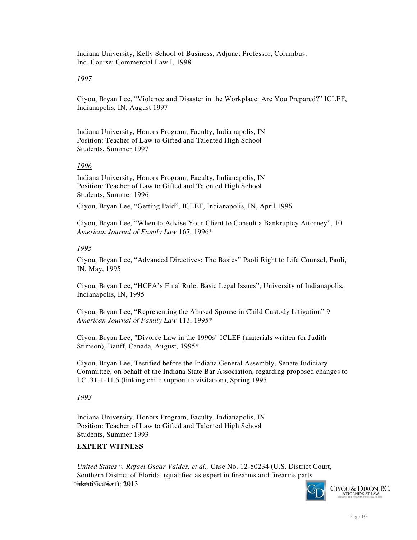Indiana University, Kelly School of Business, Adjunct Professor, Columbus, Ind. Course: Commercial Law I, 1998

### *1997*

Ciyou, Bryan Lee, "Violence and Disaster in the Workplace: Are You Prepared?" ICLEF, Indianapolis, IN, August 1997

Indiana University, Honors Program, Faculty, Indianapolis, IN Position: Teacher of Law to Gifted and Talented High School Students, Summer 1997

### *1996*

Indiana University, Honors Program, Faculty, Indianapolis, IN Position: Teacher of Law to Gifted and Talented High School Students, Summer 1996

Ciyou, Bryan Lee, "Getting Paid", ICLEF, Indianapolis, IN, April 1996

Ciyou, Bryan Lee, "When to Advise Your Client to Consult a Bankruptcy Attorney", 10 *American Journal of Family Law* 167, 1996\*

### *1995*

Ciyou, Bryan Lee, "Advanced Directives: The Basics" Paoli Right to Life Counsel, Paoli, IN, May, 1995

Ciyou, Bryan Lee, "HCFA's Final Rule: Basic Legal Issues", University of Indianapolis, Indianapolis, IN, 1995

Ciyou, Bryan Lee, "Representing the Abused Spouse in Child Custody Litigation" 9 *American Journal of Family Law* 113, 1995\*

Ciyou, Bryan Lee, "Divorce Law in the 1990s" ICLEF (materials written for Judith Stimson), Banff, Canada, August, 1995\*

Ciyou, Bryan Lee, Testified before the Indiana General Assembly, Senate Judiciary Committee, on behalf of the Indiana State Bar Association, regarding proposed changes to I.C. 31-1-11.5 (linking child support to visitation), Spring 1995

### *1993*

Indiana University, Honors Program, Faculty, Indianapolis, IN Position: Teacher of Law to Gifted and Talented High School Students, Summer 1993

### **EXPERT WITNESS**

cudontification), 2013 *United States v. Rafael Oscar Valdes, et al.,* Case No. 12-80234 (U.S. District Court, Southern District of Florida (qualified as expert in firearms and firearms parts

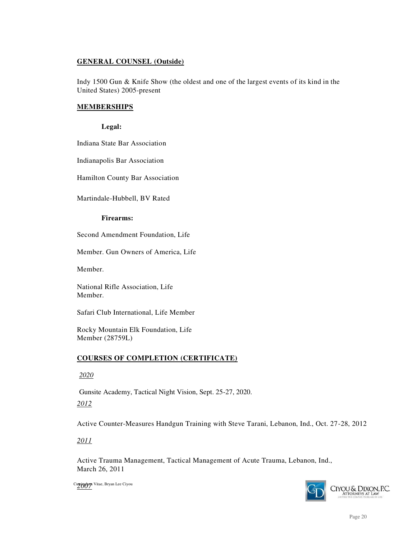## **GENERAL COUNSEL (Outside)**

Indy 1500 Gun & Knife Show (the oldest and one of the largest events of its kind in the United States) 2005-present

### **MEMBERSHIPS**

### **Legal:**

Indiana State Bar Association

Indianapolis Bar Association

Hamilton County Bar Association

Martindale-Hubbell, BV Rated

### **Firearms:**

Second Amendment Foundation, Life

Member. Gun Owners of America, Life

Member.

National Rifle Association, Life Member.

Safari Club International, Life Member

Rocky Mountain Elk Foundation, Life Member (28759L)

### **COURSES OF COMPLETION (CERTIFICATE)**

 *2020*

Gunsite Academy, Tactical Night Vision, Sept. 25-27, 2020.

*2012*

Active Counter-Measures Handgun Training with Steve Tarani, Lebanon, Ind., Oct. 27-28, 2012

*2011*

Active Trauma Management, Tactical Management of Acute Trauma, Lebanon, Ind., March 26, 2011

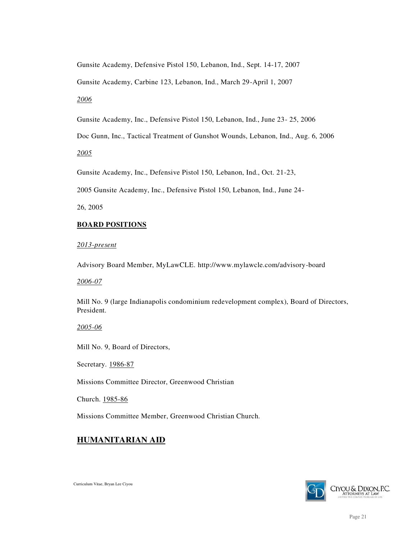Gunsite Academy, Defensive Pistol 150, Lebanon, Ind., Sept. 14-17, 2007

Gunsite Academy, Carbine 123, Lebanon, Ind., March 29-April 1, 2007

*2006*

Gunsite Academy, Inc., Defensive Pistol 150, Lebanon, Ind., June 23- 25, 2006

Doc Gunn, Inc., Tactical Treatment of Gunshot Wounds, Lebanon, Ind., Aug. 6, 2006

*2005*

Gunsite Academy, Inc., Defensive Pistol 150, Lebanon, Ind., Oct. 21-23,

2005 Gunsite Academy, Inc., Defensive Pistol 150, Lebanon, Ind., June 24-

26, 2005

## **BOARD POSITIONS**

*2013-present* 

Advisory Board Member, MyLawCLE.<http://www.mylawcle.com/advisory-board>

*2006-07*

Mill No. 9 (large Indianapolis condominium redevelopment complex), Board of Directors, President.

*2005-06*

Mill No. 9, Board of Directors,

Secretary. 1986-87

Missions Committee Director, Greenwood Christian

Church. 1985-86

Missions Committee Member, Greenwood Christian Church.

## **HUMANITARIAN AID**